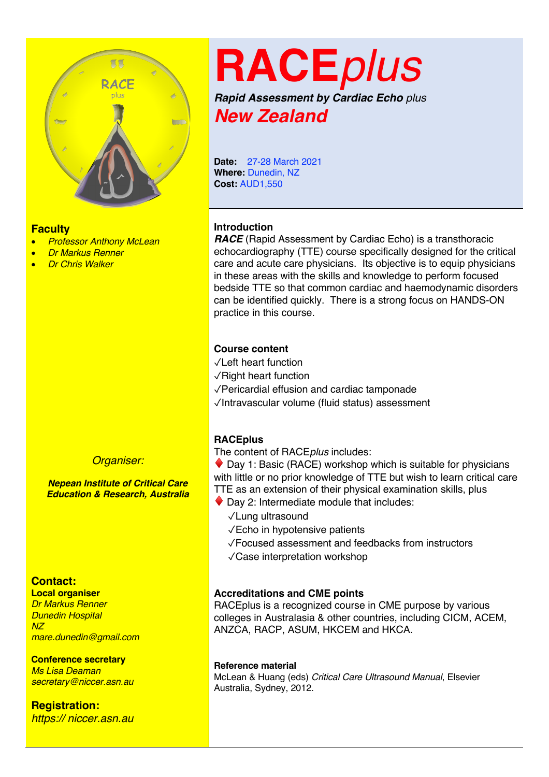

#### **Faculty**

- *Professor Anthony McLean*
- *Dr Markus Renner*
- *Dr Chris Walker*



*Nepean Institute of Critical Care Education & Research, Australia*

# **Contact:**

**Local organiser** *Dr Markus Renner Dunedin Hospital NZ mare.dunedin@gmail.com*

#### **Conference secretary**

*Ms Lisa Deaman secretary@niccer.asn.au*

**Registration:** *https:// niccer.asn.au*

# **RACE***plus*

*Rapid Assessment by Cardiac Echo plus New Zealand*

**Date:** 27-28 March 2021 **Where:** Dunedin, NZ **Cost:** AUD1,550

# **Introduction**

*RACE* (Rapid Assessment by Cardiac Echo) is a transthoracic echocardiography (TTE) course specifically designed for the critical care and acute care physicians. Its objective is to equip physicians in these areas with the skills and knowledge to perform focused bedside TTE so that common cardiac and haemodynamic disorders can be identified quickly. There is a strong focus on HANDS-ON practice in this course.

#### **Course content**

- ✓Left heart function
- ✓Right heart function
- ✓Pericardial effusion and cardiac tamponade
- ✓Intravascular volume (fluid status) assessment

# **RACEplus**

The content of RACE*plus* includes:

 $\bullet$  Day 1: Basic (RACE) workshop which is suitable for physicians with little or no prior knowledge of TTE but wish to learn critical care TTE as an extension of their physical examination skills, plus

- $\blacklozenge$  Day 2: Intermediate module that includes:
	- ✓Lung ultrasound
	- ✓Echo in hypotensive patients
	- ✓Focused assessment and feedbacks from instructors
	- ✓Case interpretation workshop

#### **Accreditations and CME points**

RACEplus is a recognized course in CME purpose by various colleges in Australasia & other countries, including CICM, ACEM, ANZCA, RACP, ASUM, HKCEM and HKCA.

#### **Reference material**

McLean & Huang (eds) *Critical Care Ultrasound Manual*, Elsevier Australia, Sydney, 2012.